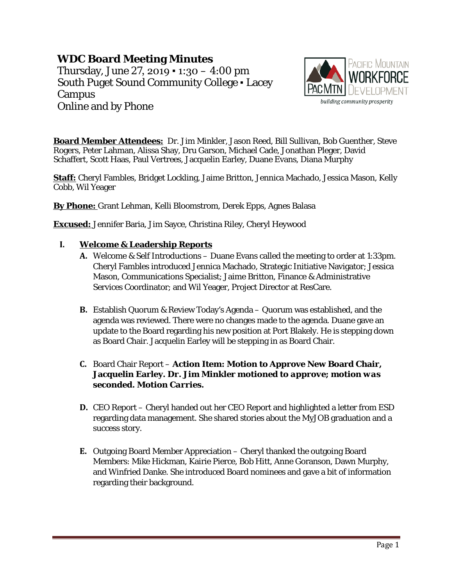# **WDC Board Meeting Minutes**

Thursday, June 27, 2019  $\cdot$  1:30 – 4:00 pm South Puget Sound Community College ▪ Lacey Campus Online and by Phone



**Board Member Attendees:** Dr. Jim Minkler, Jason Reed, Bill Sullivan, Bob Guenther, Steve Rogers, Peter Lahman, Alissa Shay, Dru Garson, Michael Cade, Jonathan Pleger, David Schaffert, Scott Haas, Paul Vertrees, Jacquelin Earley, Duane Evans, Diana Murphy

**Staff:** Cheryl Fambles, Bridget Lockling, Jaime Britton, Jennica Machado, Jessica Mason, Kelly Cobb, Wil Yeager

**By Phone:** Grant Lehman, Kelli Bloomstrom, Derek Epps, Agnes Balasa

**Excused:** Jennifer Baria, Jim Sayce, Christina Riley, Cheryl Heywood

## **I. Welcome & Leadership Reports**

- **A.** Welcome & Self Introductions Duane Evans called the meeting to order at 1:33pm. Cheryl Fambles introduced Jennica Machado, Strategic Initiative Navigator; Jessica Mason, Communications Specialist; Jaime Britton, Finance & Administrative Services Coordinator; and Wil Yeager, Project Director at ResCare.
- **B.** Establish Quorum & Review Today's Agenda Quorum was established, and the agenda was reviewed. There were no changes made to the agenda. Duane gave an update to the Board regarding his new position at Port Blakely. He is stepping down as Board Chair. Jacquelin Earley will be stepping in as Board Chair.

# **C.** Board Chair Report – **Action Item: Motion to Approve New Board Chair, Jacquelin Earley.** *Dr. Jim Minkler motioned to approve; motion was seconded. Motion Carries.*

- **D.** CEO Report Cheryl handed out her CEO Report and highlighted a letter from ESD regarding data management. She shared stories about the MyJOB graduation and a success story.
- **E.** Outgoing Board Member Appreciation Cheryl thanked the outgoing Board Members: Mike Hickman, Kairie Pierce, Bob Hitt, Anne Goranson, Dawn Murphy, and Winfried Danke. She introduced Board nominees and gave a bit of information regarding their background.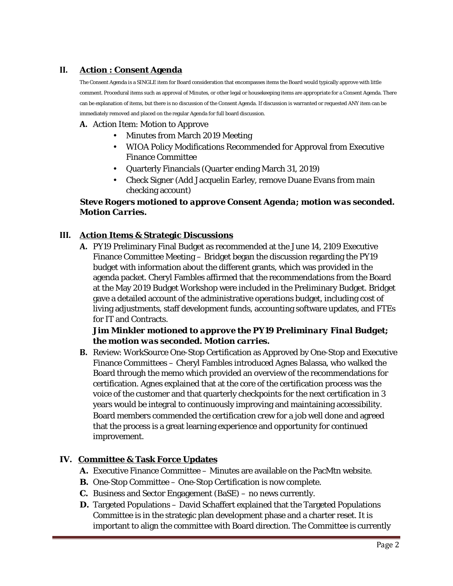# **II. Action : Consent Agenda**

The Consent Agenda is a SINGLE item for Board consideration that encompasses items the Board would typically approve with little comment. Procedural items such as approval of Minutes, or other legal or housekeeping items are appropriate for a Consent Agenda. There can be explanation of items, but there is no discussion of the Consent Agenda. If discussion is warranted or requested ANY item can be immediately removed and placed on the regular Agenda for full board discussion.

#### **A.** Action Item: Motion to Approve

- Minutes from March 2019 Meeting
- WIOA Policy Modifications Recommended for Approval from Executive Finance Committee
- Quarterly Financials (Quarter ending March 31, 2019)
- Check Signer (Add Jacquelin Earley, remove Duane Evans from main checking account)

# *Steve Rogers motioned to approve Consent Agenda; motion was seconded. Motion Carries.*

#### **III. Action Items & Strategic Discussions**

**A.** PY19 Preliminary Final Budget as recommended at the June 14, 2109 Executive Finance Committee Meeting – Bridget began the discussion regarding the PY19 budget with information about the different grants, which was provided in the agenda packet. Cheryl Fambles affirmed that the recommendations from the Board at the May 2019 Budget Workshop were included in the Preliminary Budget. Bridget gave a detailed account of the administrative operations budget, including cost of living adjustments, staff development funds, accounting software updates, and FTEs for IT and Contracts.

## *Jim Minkler motioned to approve the PY19 Preliminary Final Budget; the motion was seconded. Motion carries.*

**B.** Review: WorkSource One-Stop Certification as Approved by One-Stop and Executive Finance Committees – Cheryl Fambles introduced Agnes Balassa, who walked the Board through the memo which provided an overview of the recommendations for certification. Agnes explained that at the core of the certification process was the voice of the customer and that quarterly checkpoints for the next certification in 3 years would be integral to continuously improving and maintaining accessibility. Board members commended the certification crew for a job well done and agreed that the process is a great learning experience and opportunity for continued improvement.

## **IV. Committee & Task Force Updates**

- **A.** Executive Finance Committee Minutes are available on the PacMtn website.
- **B.** One-Stop Committee One-Stop Certification is now complete.
- **C.** Business and Sector Engagement (BaSE) no news currently.
- **D.** Targeted Populations David Schaffert explained that the Targeted Populations Committee is in the strategic plan development phase and a charter reset. It is important to align the committee with Board direction. The Committee is currently